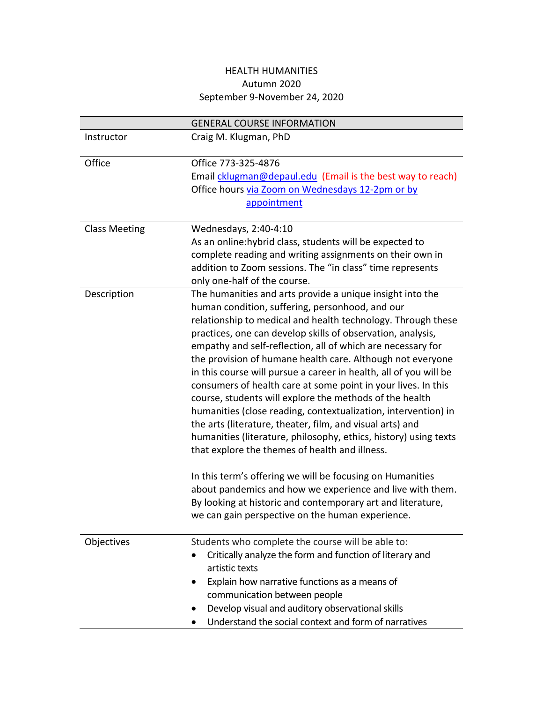## HEALTH HUMANITIES Autumn 2020 September 9-November 24, 2020

|                      | <b>GENERAL COURSE INFORMATION</b>                                                                                                                                                                                                                                                                                                                                                                                                                                                                                                                                                                                                                                                                                                                                                                                                                                                                                                                                                                                                                                           |
|----------------------|-----------------------------------------------------------------------------------------------------------------------------------------------------------------------------------------------------------------------------------------------------------------------------------------------------------------------------------------------------------------------------------------------------------------------------------------------------------------------------------------------------------------------------------------------------------------------------------------------------------------------------------------------------------------------------------------------------------------------------------------------------------------------------------------------------------------------------------------------------------------------------------------------------------------------------------------------------------------------------------------------------------------------------------------------------------------------------|
| Instructor           | Craig M. Klugman, PhD                                                                                                                                                                                                                                                                                                                                                                                                                                                                                                                                                                                                                                                                                                                                                                                                                                                                                                                                                                                                                                                       |
| Office               | Office 773-325-4876<br>Email cklugman@depaul.edu (Email is the best way to reach)<br>Office hours via Zoom on Wednesdays 12-2pm or by<br>appointment                                                                                                                                                                                                                                                                                                                                                                                                                                                                                                                                                                                                                                                                                                                                                                                                                                                                                                                        |
| <b>Class Meeting</b> | Wednesdays, 2:40-4:10<br>As an online: hybrid class, students will be expected to<br>complete reading and writing assignments on their own in<br>addition to Zoom sessions. The "in class" time represents<br>only one-half of the course.                                                                                                                                                                                                                                                                                                                                                                                                                                                                                                                                                                                                                                                                                                                                                                                                                                  |
| Description          | The humanities and arts provide a unique insight into the<br>human condition, suffering, personhood, and our<br>relationship to medical and health technology. Through these<br>practices, one can develop skills of observation, analysis,<br>empathy and self-reflection, all of which are necessary for<br>the provision of humane health care. Although not everyone<br>in this course will pursue a career in health, all of you will be<br>consumers of health care at some point in your lives. In this<br>course, students will explore the methods of the health<br>humanities (close reading, contextualization, intervention) in<br>the arts (literature, theater, film, and visual arts) and<br>humanities (literature, philosophy, ethics, history) using texts<br>that explore the themes of health and illness.<br>In this term's offering we will be focusing on Humanities<br>about pandemics and how we experience and live with them.<br>By looking at historic and contemporary art and literature,<br>we can gain perspective on the human experience. |
| Objectives           | Students who complete the course will be able to:<br>Critically analyze the form and function of literary and<br>artistic texts<br>Explain how narrative functions as a means of<br>communication between people<br>Develop visual and auditory observational skills<br>Understand the social context and form of narratives                                                                                                                                                                                                                                                                                                                                                                                                                                                                                                                                                                                                                                                                                                                                                |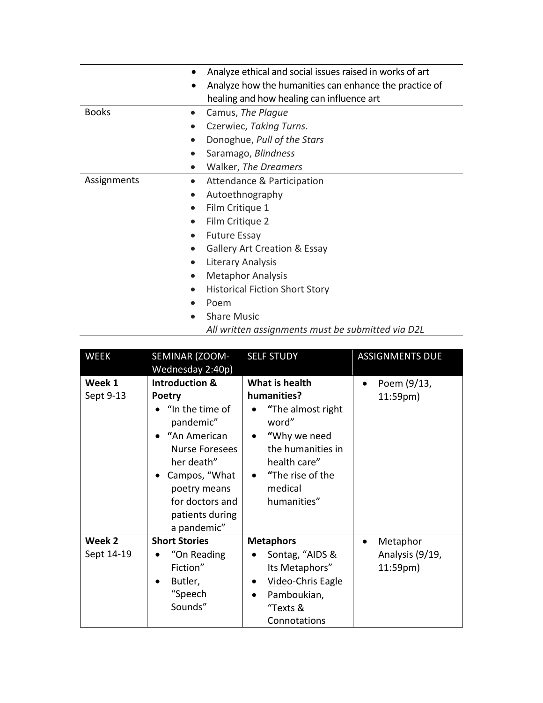|              | Analyze ethical and social issues raised in works of art<br>Analyze how the humanities can enhance the practice of<br>$\bullet$<br>healing and how healing can influence art |
|--------------|------------------------------------------------------------------------------------------------------------------------------------------------------------------------------|
| <b>Books</b> | Camus, The Plague<br>$\bullet$                                                                                                                                               |
|              | Czerwiec, Taking Turns.                                                                                                                                                      |
|              | Donoghue, Pull of the Stars                                                                                                                                                  |
|              | Saramago, Blindness                                                                                                                                                          |
|              | Walker, The Dreamers<br>$\bullet$                                                                                                                                            |
| Assignments  | Attendance & Participation                                                                                                                                                   |
|              | Autoethnography<br>$\bullet$                                                                                                                                                 |
|              | Film Critique 1<br>$\bullet$                                                                                                                                                 |
|              | Film Critique 2                                                                                                                                                              |
|              | <b>Future Essay</b><br>$\bullet$                                                                                                                                             |
|              | <b>Gallery Art Creation &amp; Essay</b>                                                                                                                                      |
|              | Literary Analysis                                                                                                                                                            |
|              | <b>Metaphor Analysis</b>                                                                                                                                                     |
|              | <b>Historical Fiction Short Story</b>                                                                                                                                        |
|              | Poem                                                                                                                                                                         |
|              | <b>Share Music</b>                                                                                                                                                           |

*All written assignments must be submitted via D2L*

| <b>WEEK</b>          | SEMINAR (ZOOM-<br>Wednesday 2:40p)                                                                                                                                                                                 | <b>SELF STUDY</b>                                                                                                                                                | <b>ASSIGNMENTS DUE</b>                  |
|----------------------|--------------------------------------------------------------------------------------------------------------------------------------------------------------------------------------------------------------------|------------------------------------------------------------------------------------------------------------------------------------------------------------------|-----------------------------------------|
| Week 1<br>Sept 9-13  | <b>Introduction &amp;</b><br><b>Poetry</b><br>"In the time of<br>pandemic"<br>"An American<br>Nurse Foresees<br>her death"<br>• Campos, "What<br>poetry means<br>for doctors and<br>patients during<br>a pandemic" | What is health<br>humanities?<br>"The almost right<br>word"<br>"Why we need<br>the humanities in<br>health care"<br>• "The rise of the<br>medical<br>humanities" | Poem (9/13,<br>11:59 <sub>pm</sub>      |
| Week 2<br>Sept 14-19 | <b>Short Stories</b><br>"On Reading<br>$\bullet$<br>Fiction"<br>Butler,<br>"Speech<br>Sounds"                                                                                                                      | <b>Metaphors</b><br>Sontag, "AIDS &<br>Its Metaphors"<br>Video-Chris Eagle<br>$\bullet$<br>Pamboukian,<br>$\bullet$<br>"Texts &<br>Connotations                  | Metaphor<br>Analysis (9/19,<br>11:59pm) |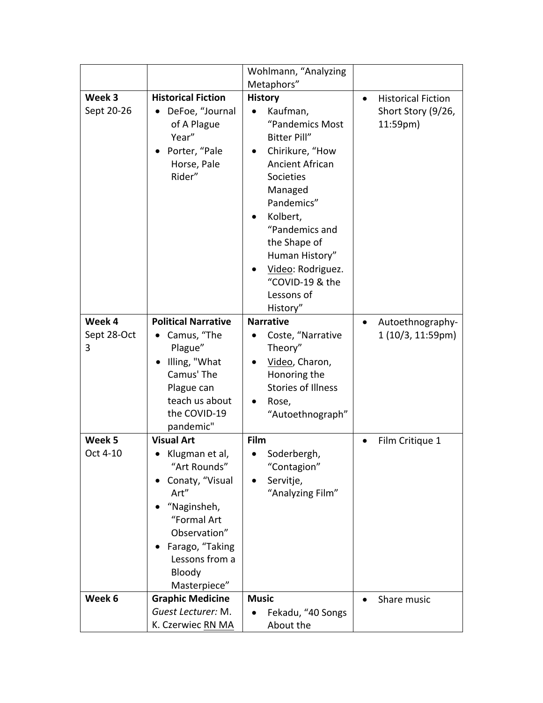|                      |                                                                                                                                                                                     | Wohlmann, "Analyzing<br>Metaphors"                                                                                                                                                                                                                                                                            |           |                                                             |
|----------------------|-------------------------------------------------------------------------------------------------------------------------------------------------------------------------------------|---------------------------------------------------------------------------------------------------------------------------------------------------------------------------------------------------------------------------------------------------------------------------------------------------------------|-----------|-------------------------------------------------------------|
|                      |                                                                                                                                                                                     |                                                                                                                                                                                                                                                                                                               |           |                                                             |
| Week 3<br>Sept 20-26 | <b>Historical Fiction</b><br>DeFoe, "Journal<br>of A Plague<br>Year"<br>Porter, "Pale<br>Horse, Pale<br>Rider"                                                                      | <b>History</b><br>Kaufman,<br>"Pandemics Most<br><b>Bitter Pill"</b><br>Chirikure, "How<br>$\bullet$<br><b>Ancient African</b><br><b>Societies</b><br>Managed<br>Pandemics"<br>Kolbert,<br>"Pandemics and<br>the Shape of<br>Human History"<br>Video: Rodriguez.<br>"COVID-19 & the<br>Lessons of<br>History" | $\bullet$ | <b>Historical Fiction</b><br>Short Story (9/26,<br>11:59pm) |
| Week 4               | <b>Political Narrative</b>                                                                                                                                                          | <b>Narrative</b>                                                                                                                                                                                                                                                                                              | $\bullet$ | Autoethnography-                                            |
| Sept 28-Oct          | Camus, "The                                                                                                                                                                         | Coste, "Narrative                                                                                                                                                                                                                                                                                             |           | 1 (10/3, 11:59pm)                                           |
| 3                    | Plague"<br>Illing, "What<br>Camus' The<br>Plague can<br>teach us about<br>the COVID-19<br>pandemic"                                                                                 | Theory"<br>Video, Charon,<br>Honoring the<br><b>Stories of Illness</b><br>Rose,<br>$\bullet$<br>"Autoethnograph"                                                                                                                                                                                              |           |                                                             |
| Week 5               | <b>Visual Art</b>                                                                                                                                                                   | Film                                                                                                                                                                                                                                                                                                          |           | Film Critique 1                                             |
| Oct 4-10             | Klugman et al,<br>$\bullet$<br>"Art Rounds"<br>Conaty, "Visual<br>Art"<br>"Naginsheh,<br>"Formal Art<br>Observation"<br>Farago, "Taking<br>Lessons from a<br>Bloody<br>Masterpiece" | Soderbergh,<br>"Contagion"<br>Servitje,<br>"Analyzing Film"                                                                                                                                                                                                                                                   |           |                                                             |
| Week 6               | <b>Graphic Medicine</b>                                                                                                                                                             | <b>Music</b>                                                                                                                                                                                                                                                                                                  |           | Share music                                                 |
|                      | Guest Lecturer: M.                                                                                                                                                                  | Fekadu, "40 Songs                                                                                                                                                                                                                                                                                             |           |                                                             |
|                      | K. Czerwiec RN MA                                                                                                                                                                   | About the                                                                                                                                                                                                                                                                                                     |           |                                                             |